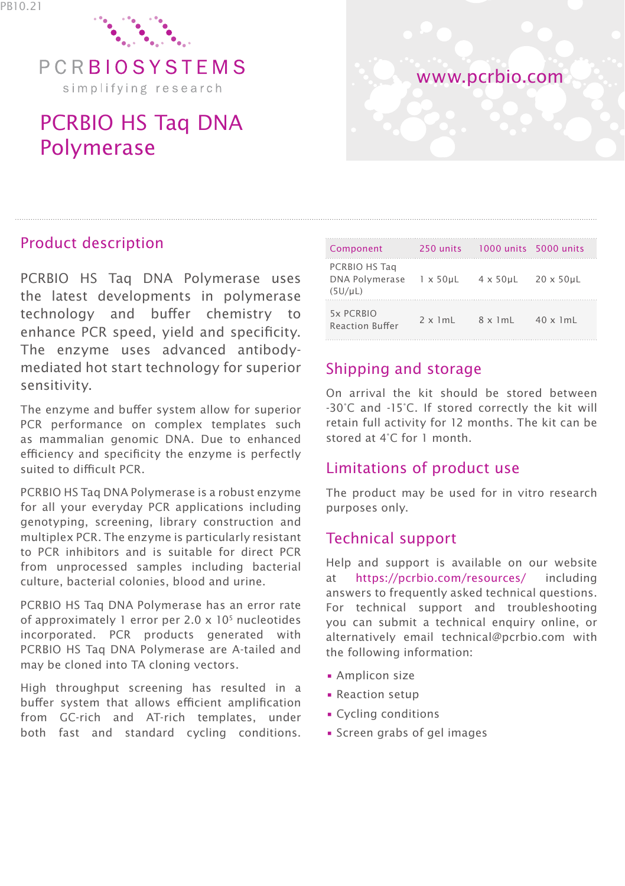

PCRBIOSYSTEMS simplifying research

# PCRBIO HS Taq DNA Polymerase



## Product description

PCRBIO HS Taq DNA Polymerase uses the latest developments in polymerase technology and buffer chemistry to enhance PCR speed, yield and specificity. The enzyme uses advanced antibodymediated hot start technology for superior sensitivity.

The enzyme and buffer system allow for superior PCR performance on complex templates such as mammalian genomic DNA. Due to enhanced efficiency and specificity the enzyme is perfectly suited to difficult PCR.

PCRBIO HS Taq DNA Polymerase is a robust enzyme for all your everyday PCR applications including genotyping, screening, library construction and multiplex PCR. The enzyme is particularly resistant to PCR inhibitors and is suitable for direct PCR from unprocessed samples including bacterial culture, bacterial colonies, blood and urine.

PCRBIO HS Taq DNA Polymerase has an error rate of approximately 1 error per 2.0  $\times$  10<sup>5</sup> nucleotides incorporated. PCR products generated with PCRBIO HS Taq DNA Polymerase are A-tailed and may be cloned into TA cloning vectors.

High throughput screening has resulted in a buffer system that allows efficient amplification from GC-rich and AT-rich templates, under both fast and standard cycling conditions.

| Component                                                | 250 units                                       | $1000$ units $5000$ units          |                  |
|----------------------------------------------------------|-------------------------------------------------|------------------------------------|------------------|
| PCRBIO HS Tag<br>DNA Polymerase 1 x 50µL<br>$(5U/\mu L)$ |                                                 | $4 \times 50$ uL $20 \times 50$ uL |                  |
| 5x PCRBIO<br><b>Reaction Buffer</b>                      | $2 \times 1$ m $\lfloor 8 \times 1$ m $\lfloor$ |                                    | $40 \times 1$ mL |

# Shipping and storage

On arrival the kit should be stored between -30°C and -15°C. If stored correctly the kit will retain full activity for 12 months. The kit can be stored at 4°C for 1 month.

## Limitations of product use

The product may be used for in vitro research purposes only.

## Technical support

Help and support is available on our website at https://pcrbio.com/resources/ including answers to frequently asked technical questions. For technical support and troubleshooting you can submit a technical enquiry online, or alternatively email technical@pcrbio.com with the following information:

- Amplicon size
- Reaction setup
- Cycling conditions
- Screen grabs of gel images